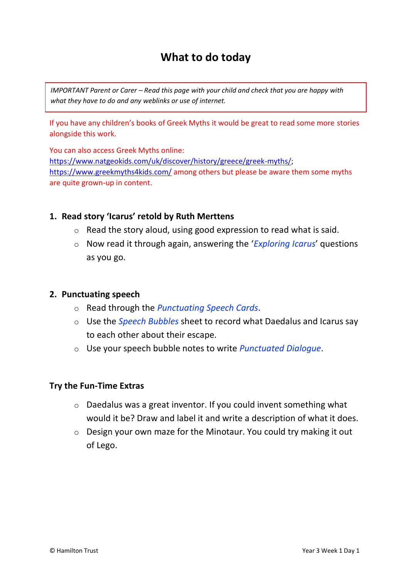# **What to do today**

*IMPORTANT Parent or Carer – Read this page with your child and check that you are happy with what they have to do and any weblinks or use of internet.* 

If you have any children's books of Greek Myths it would be great to read some more stories alongside this work.

You can also access Greek Myths online: [https://www.natgeokids.com/uk/discover/history/greece/greek-myths/;](https://www.natgeokids.com/uk/discover/history/greece/greek-myths/) <https://www.greekmyths4kids.com/> among others but please be aware them some myths are quite grown-up in content.

#### **1. Read story 'Icarus' retold by Ruth Merttens**

- $\circ$  Read the story aloud, using good expression to read what is said.
- o Now read it through again, answering the '*Exploring Icarus*' questions as you go.

#### **2. Punctuating speech**

- o Read through the *Punctuating Speech Cards*.
- o Use the *Speech Bubbles* sheet to record what Daedalus and Icarus say to each other about their escape.
- o Use your speech bubble notes to write *Punctuated Dialogue*.

#### **Try the Fun-Time Extras**

- o Daedalus was a great inventor. If you could invent something what would it be? Draw and label it and write a description of what it does.
- o Design your own maze for the Minotaur. You could try making it out of Lego.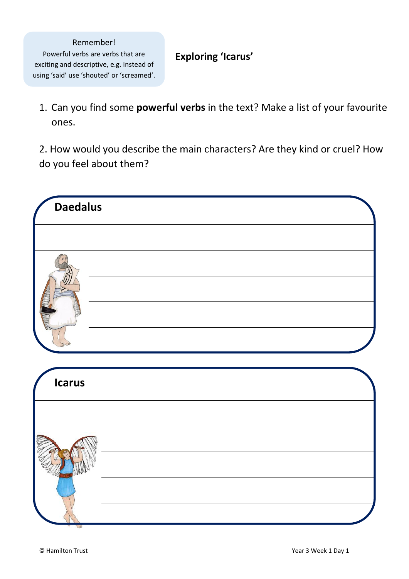#### Remember! Powerful verbs are verbs that are exciting and descriptive, e.g. instead of using 'said' use 'shouted' or 'screamed'.

### **Exploring 'Icarus'**

1. Can you find some **powerful verbs** in the text? Make a list of your favourite ones.

2. How would you describe the main characters? Are they kind or cruel? How do you feel about them?

| <b>Daedalus</b> |  |
|-----------------|--|
|                 |  |
|                 |  |
|                 |  |
| <b>Icarus</b>   |  |
|                 |  |
|                 |  |
|                 |  |
|                 |  |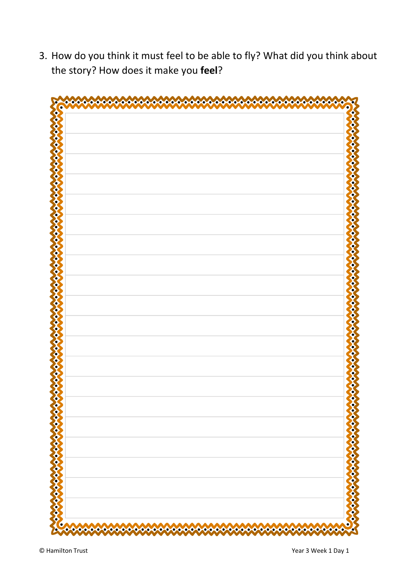3. How do you think it must feel to be able to fly? What did you think about the story? How does it make you **feel**?

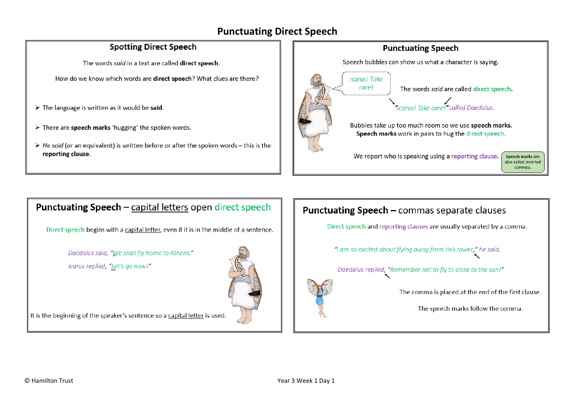## **Punctuating Direct Speech**

#### **Spotting Direct Speech**

The words said in a text are called direct speech.

How do we know which words are direct speech? What clues are there?

- $\triangleright$  The language is written as it would be said.
- > There are speech marks 'hugging' the spoken words.
- $\triangleright$  He said (or an equivalent) is written before or after the spoken words this is the reporting clause.



# **Punctuating Speech** - capital letters open direct speech

Direct speech begins with a capital letter, even if it is in the middle of a sentence.

Daedalus said, "We shall fly home to Athens."

Icarus replied, "Let's go now!"



It is the beginning of the speaker's sentence so a capital letter is used.

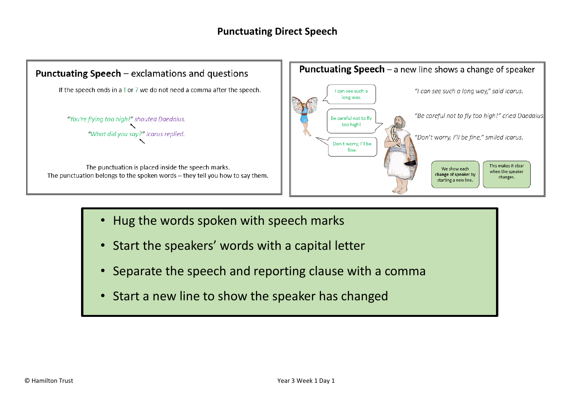### **Punctuating Direct Speech**



- Hug the words spoken with speech marks
- Start the speakers' words with a capital letter
- Separate the speech and reporting clause with a comma
- Start a new line to show the speaker has changed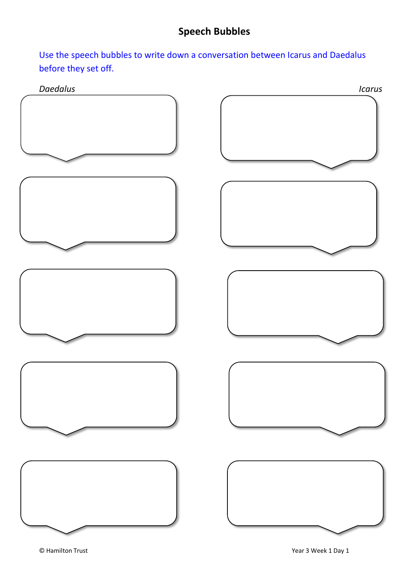Use the speech bubbles to write down a conversation between Icarus and Daedalus before they set off.